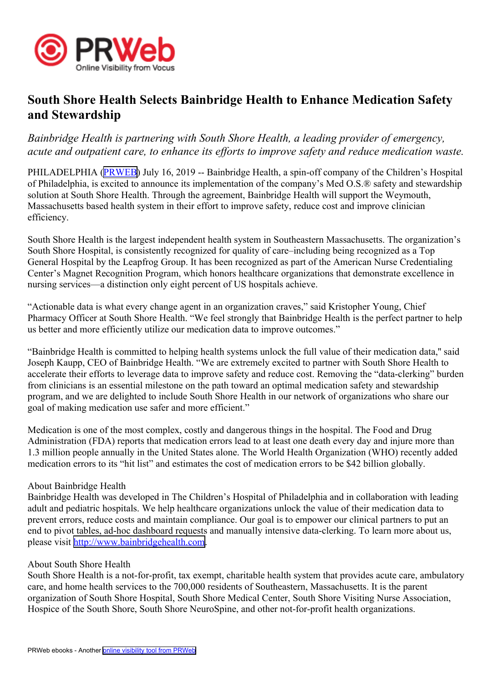

## **South Shore Health Selects Bainbridge Health to Enhance Medication Safety and Stewardship**

*Bainbridge Health is partnering with South Shore Health, <sup>a</sup> leading provider of emergency, acute and outpatient care, to enhance its efforts to improve safety and reduce medication waste.*

PHILADELPHIA ([PRWEB](http://www.prweb.com)) July 16, 2019 -- Bainbridge Health, a spin-off company of the Children's Hospital of Philadelphia, is excited to announce its implementation of the company's Med O.S.® safety and stewardship solution at South Shore Health. Through the agreement, Bainbridge Health will suppor<sup>t</sup> the Weymouth, Massachusetts based health system in their effort to improve safety, reduce cost and improve clinician efficiency.

South Shore Health is the largest independent health system in Southeastern Massachusetts. The organization's South Shore Hospital, is consistently recognized for quality of care–including being recognized as <sup>a</sup> Top General Hospital by the Leapfrog Group. It has been recognized as par<sup>t</sup> of the American Nurse Credentialing Center's Magnet Recognition Program, which honors healthcare organizations that demonstrate excellence in nursing services—a distinction only eight percen<sup>t</sup> of US hospitals achieve.

"Actionable data is what every change agen<sup>t</sup> in an organization craves," said Kristopher Young, Chief Pharmacy Officer at South Shore Health. "We feel strongly that Bainbridge Health is the perfect partner to help us better and more efficiently utilize our medication data to improve outcomes."

"Bainbridge Health is committed to helping health systems unlock the full value of their medication data,'' said Joseph Kaupp, CEO of Bainbridge Health. "We are extremely excited to partner with South Shore Health to accelerate their efforts to leverage data to improve safety and reduce cost. Removing the "data-clerking" burden from clinicians is an essential milestone on the path toward an optimal medication safety and stewardship program, and we are delighted to include South Shore Health in our network of organizations who share our goal of making medication use safer and more efficient."

Medication is one of the most complex, costly and dangerous things in the hospital. The Food and Drug Administration (FDA) reports that medication errors lead to at least one death every day and injure more than 1.3 million people annually in the United States alone. The World Health Organization (WHO) recently added medication errors to its "hit list" and estimates the cost of medication errors to be \$42 billion globally.

## About Bainbridge Health

Bainbridge Health was developed in The Children's Hospital of Philadelphia and in collaboration with leading adult and pediatric hospitals. We help healthcare organizations unlock the value of their medication data to preven<sup>t</sup> errors, reduce costs and maintain compliance. Our goal is to empower our clinical partners to pu<sup>t</sup> an end to pivot tables, ad-hoc dashboard requests and manually intensive data-clerking. To learn more about us, please visit <http://www.bainbridgehealth.com>.

## About South Shore Health

South Shore Health is <sup>a</sup> not-for-profit, tax exempt, charitable health system that provides acute care, ambulatory care, and home health services to the 700,000 residents of Southeastern, Massachusetts. It is the paren<sup>t</sup> organization of South Shore Hospital, South Shore Medical Center, South Shore Visiting Nurse Association, Hospice of the South Shore, South Shore NeuroSpine, and other not-for-profit health organizations.